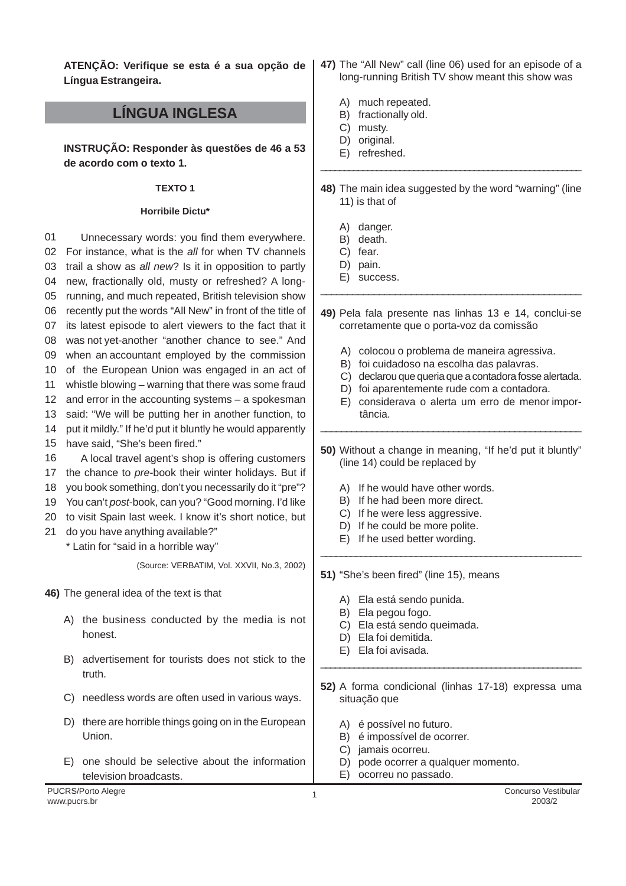**ATENÇÃO: Verifique se esta é a sua opção de Língua Estrangeira.**

# **LÍNGUA INGLESA**

**INSTRUÇÃO: Responder às questões de 46 a 53 de acordo com o texto 1.**

### **TEXTO 1**

## **Horribile Dictu\***

01 02 For instance, what is the all for when TV channels 03 04 05 06 07 08 09 10 of the European Union was engaged in an act of 11 12 and error in the accounting systems – a spokesman 13 14 15 16 17 18 19 20 to visit Spain last week. I know it's short notice, but 21 do you have anything available?" **46)** The general idea of the text is that A) the business conducted by the media is not honest. B) advertisement for tourists does not stick to the truth. C) needless words are often used in various ways. D) there are horrible things going on in the European Union. E) one should be selective about the information television broadcasts. Unnecessary words: you find them everywhere. trail a show as all new? Is it in opposition to partly new, fractionally old, musty or refreshed? A longrunning, and much repeated, British television show recently put the words "All New" in front of the title of its latest episode to alert viewers to the fact that it was not yet-another "another chance to see." And when an accountant employed by the commission whistle blowing – warning that there was some fraud said: "We will be putting her in another function, to put it mildly." If he'd put it bluntly he would apparently have said, "She's been fired." A local travel agent's shop is offering customers the chance to pre-book their winter holidays. But if you book something, don't you necessarily do it "pre"? You can't post-book, can you? "Good morning. I'd like \* Latin for "said in a horrible way" (Source: VERBATIM, Vol. XXVII, No.3, 2002) \_\_\_\_\_\_\_\_\_\_\_\_\_\_\_\_\_\_\_\_\_\_\_\_\_\_\_\_\_\_\_\_\_\_\_\_\_\_\_\_\_\_\_\_\_\_\_\_\_ \_\_\_\_\_\_\_\_\_\_\_\_\_\_\_\_\_\_\_\_\_\_\_\_\_\_\_\_\_\_\_\_\_\_\_\_\_\_\_\_\_\_\_\_\_\_\_\_\_\_\_ \_\_\_\_\_\_\_\_\_\_\_\_\_\_\_\_\_\_\_\_\_\_\_\_\_\_\_\_\_\_\_\_\_\_\_\_\_\_\_\_\_\_\_\_\_\_\_\_\_\_\_\_ \_\_\_\_\_\_\_\_\_\_\_\_\_\_\_\_\_\_\_\_\_\_\_\_\_\_\_\_\_\_\_\_\_\_\_\_\_\_\_\_\_\_\_\_\_\_\_\_\_\_\_\_\_\_\_

- **47)** The "All New" call (line 06) used for an episode of a long-running British TV show meant this show was
	- A) much repeated.
	- B) fractionally old.
	- C) musty.
	- D) original.
- E) refreshed. \_\_\_\_\_\_\_\_\_\_\_\_\_\_\_\_\_\_\_\_\_\_\_\_\_\_\_\_\_\_\_\_\_\_\_\_\_\_\_\_\_\_\_\_\_\_\_\_\_\_\_\_\_\_\_\_
- **48)** The main idea suggested by the word "warning" (line 11) is that of
	- A) danger.
	- B) death.
	- C) fear.
	- D) pain. E) success.
- **49)** Pela fala presente nas linhas 13 e 14, conclui-se corretamente que o porta-voz da comissão
	- A) colocou o problema de maneira agressiva.
	- B) foi cuidadoso na escolha das palavras.
	- C) declarou que queria que a contadora fosse alertada.
	- D) foi aparentemente rude com a contadora.
	- E) considerava o alerta um erro de menor importância.
- **50)** Without a change in meaning, "If he'd put it bluntly" (line 14) could be replaced by
	- A) If he would have other words.
	- B) If he had been more direct.
	- C) If he were less aggressive.
	- D) If he could be more polite.
	- E) If he used better wording.
- **51)** "She's been fired" (line 15), means
	- A) Ela está sendo punida.
	- B) Ela pegou fogo.
	- C) Ela está sendo queimada.
	- D) Ela foi demitida.
	- E) Ela foi avisada.
- **52)** A forma condicional (linhas 17-18) expressa uma situação que
	- A) é possível no futuro.
	- B) é impossível de ocorrer.
	- C) jamais ocorreu.
	- D) pode ocorrer a qualquer momento.
	- E) ocorreu no passado.